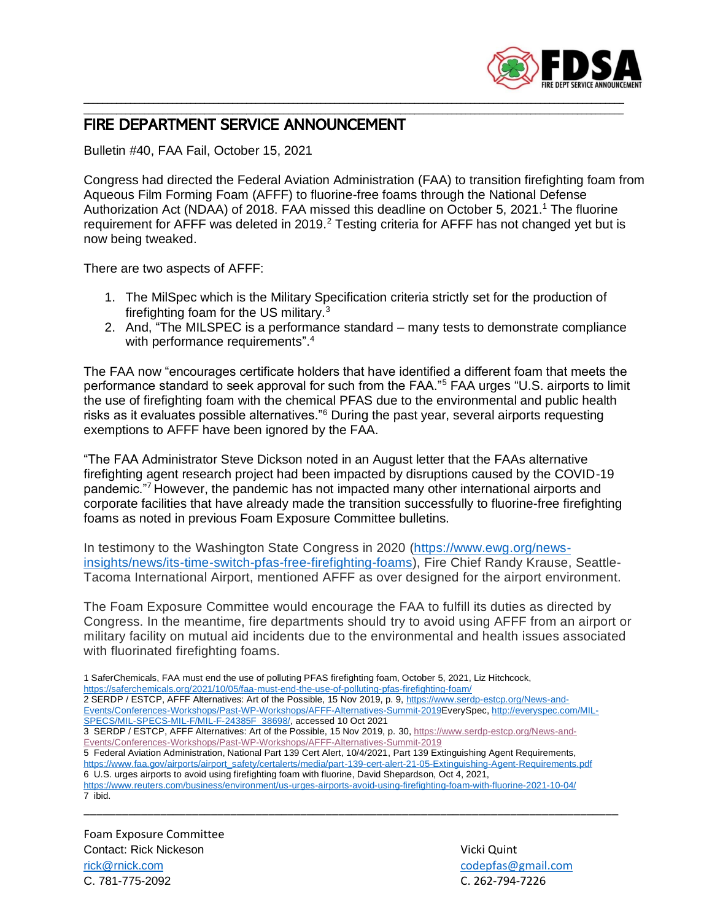

## \_\_\_\_\_\_\_\_\_\_\_\_\_\_\_\_\_\_\_\_\_\_\_\_\_\_\_\_\_\_\_\_\_\_\_\_\_\_\_\_\_\_\_\_\_\_\_\_\_\_\_\_\_\_\_\_\_\_\_\_\_\_\_\_\_\_\_\_\_\_\_\_\_\_\_\_\_\_\_\_\_\_\_\_\_\_\_\_\_\_\_\_\_\_\_\_\_\_\_\_\_\_\_\_\_\_\_\_\_\_\_\_\_\_\_\_ FIRE DEPARTMENT SERVICE ANNOUNCEMENT

Bulletin #40, FAA Fail, October 15, 2021

Congress had directed the Federal Aviation Administration (FAA) to transition firefighting foam from Aqueous Film Forming Foam (AFFF) to fluorine-free foams through the National Defense Authorization Act (NDAA) of 2018. FAA missed this deadline on October 5, 2021.<sup>1</sup> The fluorine requirement for AFFF was deleted in 2019.<sup>2</sup> Testing criteria for AFFF has not changed yet but is now being tweaked.

\_\_\_\_\_\_\_\_\_\_\_\_\_\_\_\_\_\_\_\_\_\_\_\_\_\_\_\_\_\_\_\_\_\_\_\_\_\_\_\_\_\_\_\_\_\_\_\_\_\_\_\_\_\_\_\_\_\_\_\_\_\_\_\_\_\_\_\_\_\_\_\_\_\_\_\_\_\_\_\_\_\_\_\_\_\_\_\_\_\_\_\_\_\_\_\_\_\_\_\_\_\_\_\_\_\_\_\_\_\_\_\_\_\_\_\_

There are two aspects of AFFF:

- 1. The MilSpec which is the Military Specification criteria strictly set for the production of firefighting foam for the US military.<sup>3</sup>
- 2. And, "The MILSPEC is a performance standard many tests to demonstrate compliance with performance requirements".<sup>4</sup>

The FAA now "encourages certificate holders that have identified a different foam that meets the performance standard to seek approval for such from the FAA."<sup>5</sup> FAA urges "U.S. airports to limit the use of firefighting foam with the chemical PFAS due to the environmental and public health risks as it evaluates possible alternatives."<sup>6</sup> During the past year, several airports requesting exemptions to AFFF have been ignored by the FAA.

"The FAA Administrator Steve Dickson noted in an August letter that the FAAs alternative firefighting agent research project had been impacted by disruptions caused by the COVID-19 pandemic."<sup>7</sup> However, the pandemic has not impacted many other international airports and corporate facilities that have already made the transition successfully to fluorine-free firefighting foams as noted in previous Foam Exposure Committee bulletins.

In testimony to the Washington State Congress in 2020 [\(https://www.ewg.org/news](https://www.ewg.org/news-insights/news/its-time-switch-pfas-free-firefighting-foams)[insights/news/its-time-switch-pfas-free-firefighting-foams\)](https://www.ewg.org/news-insights/news/its-time-switch-pfas-free-firefighting-foams), Fire Chief Randy Krause, Seattle-Tacoma International Airport, mentioned AFFF as over designed for the airport environment.

The Foam Exposure Committee would encourage the FAA to fulfill its duties as directed by Congress. In the meantime, fire departments should try to avoid using AFFF from an airport or military facility on mutual aid incidents due to the environmental and health issues associated with fluorinated firefighting foams.

1 SaferChemicals, FAA must end the use of polluting PFAS firefighting foam, October 5, 2021, Liz Hitchcock, <https://saferchemicals.org/2021/10/05/faa-must-end-the-use-of-polluting-pfas-firefighting-foam/> 2 SERDP / ESTCP, AFFF Alternatives: Art of the Possible, 15 Nov 2019, p. 9[, https://www.serdp-estcp.org/News-and-](https://www.serdp-estcp.org/News-and-Events/Conferences-Workshops/Past-WP-Workshops/AFFF-Alternatives-Summit-2019)

[Events/Conferences-Workshops/Past-WP-Workshops/AFFF-Alternatives-Summit-2019E](https://www.serdp-estcp.org/News-and-Events/Conferences-Workshops/Past-WP-Workshops/AFFF-Alternatives-Summit-2019)verySpec, [http://everyspec.com/MIL-](http://everyspec.com/MIL-SPECS/MIL-SPECS-MIL-F/MIL-F-24385F_38698/)[SPECS/MIL-SPECS-MIL-F/MIL-F-24385F\\_38698/,](http://everyspec.com/MIL-SPECS/MIL-SPECS-MIL-F/MIL-F-24385F_38698/) accessed 10 Oct 2021

3 SERDP / ESTCP, AFFF Alternatives: Art of the Possible, 15 Nov 2019, p. 30, [https://www.serdp-estcp.org/News-and-](https://www.serdp-estcp.org/News-and-Events/Conferences-Workshops/Past-WP-Workshops/AFFF-Alternatives-Summit-2019)[Events/Conferences-Workshops/Past-WP-Workshops/AFFF-Alternatives-Summit-2019](https://www.serdp-estcp.org/News-and-Events/Conferences-Workshops/Past-WP-Workshops/AFFF-Alternatives-Summit-2019)

5 Federal Aviation Administration, National Part 139 Cert Alert, 10/4/2021, Part 139 Extinguishing Agent Requirements, [https://www.faa.gov/airports/airport\\_safety/certalerts/media/part-139-cert-alert-21-05-Extinguishing-Agent-Requirements.pdf](https://www.faa.gov/airports/airport_safety/certalerts/media/part-139-cert-alert-21-05-Extinguishing-Agent-Requirements.pdf) 6 U.S. urges airports to avoid using firefighting foam with fluorine, David Shepardson, Oct 4, 2021,

<https://www.reuters.com/business/environment/us-urges-airports-avoid-using-firefighting-foam-with-fluorine-2021-10-04/> 7 ibid. \_\_\_\_\_\_\_\_\_\_\_\_\_\_\_\_\_\_\_\_\_\_\_\_\_\_\_\_\_\_\_\_\_\_\_\_\_\_\_\_\_\_\_\_\_\_\_\_\_\_\_\_\_\_\_\_\_\_\_\_\_\_\_\_\_\_\_\_\_\_\_\_\_\_\_\_\_\_\_\_\_\_\_\_

Foam Exposure Committee **Contact: Rick Nickeson Contact: Rick Nickeson** Vicki Quint [rick@rnick.com](mailto:rick@rnick.com) [codepfas@gmail.com](mailto:codepfas@gmail.com) C. 781-775-2092 C. 262-794-7226